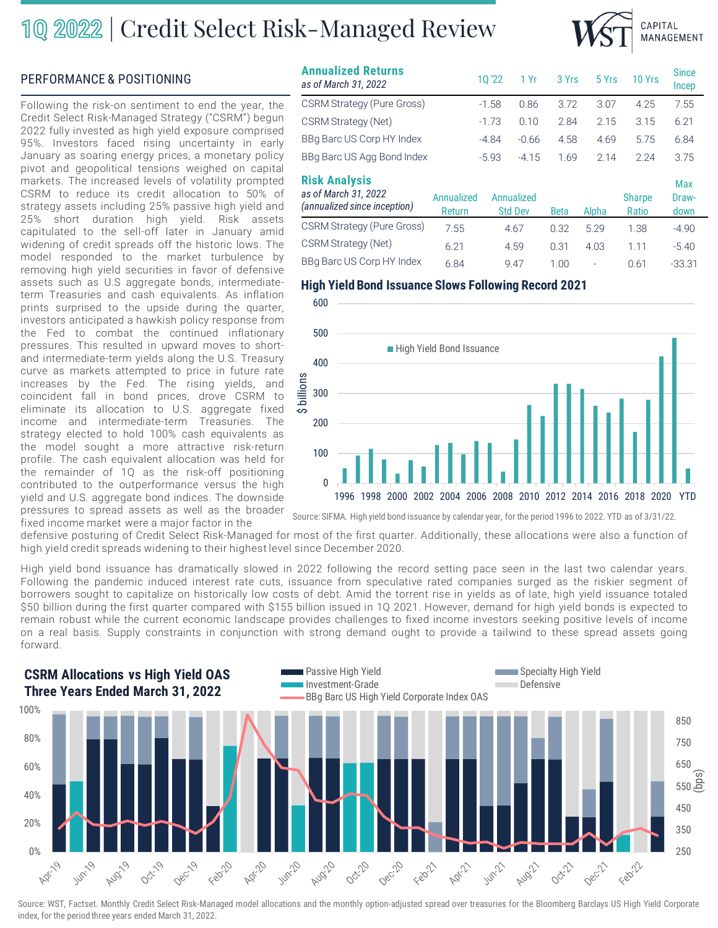## 10 2022 | Credit Select Risk-Managed Review



### **PERFORMANCE & POSITIONING**

Following the risk-on sentiment to end the year, the Credit Select Risk-Managed Strategy ("CSRM") begun 2022 fully invested as high yield exposure comprised 95%. Investors faced rising uncertainty in early January as soaring energy prices, a monetary policy pivot and geopolitical tensions weighed on capital markets. The increased levels of volatility prompted CSRM to reduce its credit allocation to 50% of strategy assets including 25% passive high yield and 25% short duration high yield. Risk assets capitulated to the sell-off later in January amid widening of credit spreads off the historic lows. The model responded to the market turbulence by removing high yield securities in favor of defensive assets such as U.S aggregate bonds, intermediateterm Treasuries and cash equivalents. As inflation prints surprised to the upside during the quarter, investors anticipated a hawkish policy response from the Fed to combat the continued inflationary pressures. This resulted in upward moves to shortand intermediate-term yields along the U.S. Treasury curve as markets attempted to price in future rate increases by the Fed. The rising yields, and coincident fall in bond prices, drove CSRM to eliminate its allocation to U.S. aggregate fixed income and intermediate-term Treasuries. The strategy elected to hold 100% cash equivalents as the model sought a more attractive risk-return profile. The cash equivalent allocation was held for the remainder of 1Q as the risk-off positioning contributed to the outperformance versus the high yield and U.S. aggregate bond indices. The downside pressures to spread assets as well as the broader fixed income market were a major factor in the

| <b>Annualized Returns</b><br>as of March 31, 2022                            |                      | 10'22   | 1 Yr                         | 3 Yrs       | 5 Yrs | 10 Yrs                 | <b>Since</b><br>Incep |
|------------------------------------------------------------------------------|----------------------|---------|------------------------------|-------------|-------|------------------------|-----------------------|
| <b>CSRM Strategy (Pure Gross)</b>                                            |                      | $-1.58$ | 0.86                         | 3.72        | 3.07  | 4.25                   | 7.55                  |
| CSRM Strategy (Net)                                                          |                      | $-1.73$ | 0.10                         | 2.84        | 2.15  | 3.15                   | 6.21                  |
| BBg Barc US Corp HY Index                                                    |                      | $-4.84$ | $-0.66$                      | 4.58        | 4.69  | 5.75                   | 6.84                  |
| BBg Barc US Agg Bond Index                                                   |                      | $-5.93$ | $-4.15$                      | 1.69        | 2.14  | 2.24                   | 3.75                  |
| <b>Risk Analysis</b><br>as of March 31, 2022<br>(annualized since inception) | Annualized<br>Return |         | Annualized<br><b>Std Dev</b> | <b>Beta</b> | Alpha | <b>Sharpe</b><br>Ratio | Max<br>Draw-<br>down  |
| <b>CSRM Strategy (Pure Gross)</b>                                            | 7.55                 |         | 4.67                         | 0.32        | 5.29  | 1.38                   | $-4.90$               |
| CSRM Strategy (Net)                                                          | 6.21                 | 4.59    |                              | 0.31        | 4.03  | 1.11                   | $-5.40$               |
| BBq Barc US Corp HY Index                                                    | 6.84                 |         | 9.47                         | 1.00        | -     | 0.61                   | $-33.31$              |

### **High Yield Bond Issuance Slows Following Record 2021**



Source: SIFMA. High yield bond issuance by calendar year, for the period 1996 to 2022. YTD as of 3/31/22.

defensive posturing of Credit Select Risk-Managed for most of the first quarter. Additionally, these allocations were also a function of high yield credit spreads widening to their highest level since December 2020.

600

High yield bond issuance has dramatically slowed in 2022 following the record setting pace seen in the last two calendar years. Following the pandemic induced interest rate cuts, issuance from speculative rated companies surged as the riskier segment of borrowers sought to capitalize on historically low costs of debt. Amid the torrent rise in yields as of late, high yield issuance totaled \$50 billion during the first quarter compared with \$155 billion issued in 1Q 2021. However, demand for high yield bonds is expected to remain robust while the current economic landscape provides challenges to fixed income investors seeking positive levels of income on a real basis. Supply constraints in conjunction with strong demand ought to provide a tailwind to these spread assets going forward.



Source: WST, Factset. Monthly Credit Select Risk-Managed model allocations and the monthly option-adjusted spread over treasuries for the Bloomberg Barclays US High Yield Corporate index, for the period three years ended March 31, 2022.